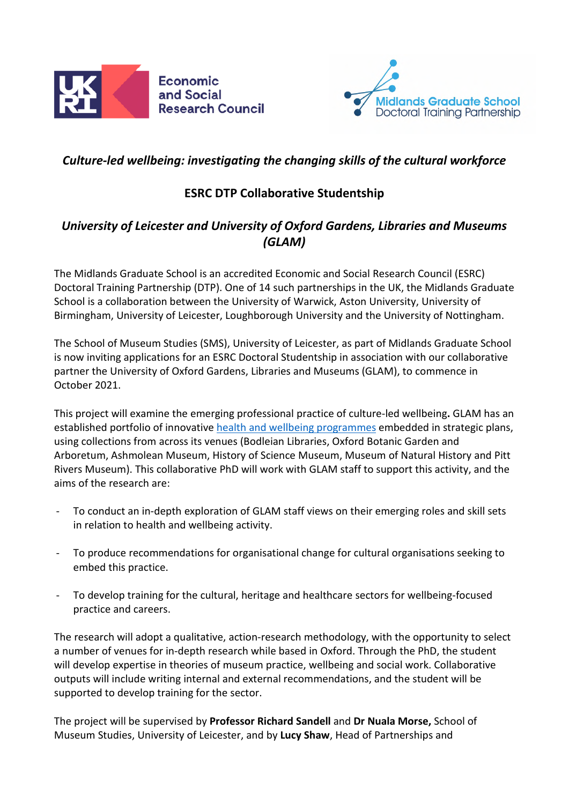



# *Culture-led wellbeing: investigating the changing skills of the cultural workforce*

# **ESRC DTP Collaborative Studentship**

# *University of Leicester and University of Oxford Gardens, Libraries and Museums (GLAM)*

The Midlands Graduate School is an accredited Economic and Social Research Council (ESRC) Doctoral Training Partnership (DTP). One of 14 such partnerships in the UK, the Midlands Graduate School is a collaboration between the University of Warwick, Aston University, University of Birmingham, University of Leicester, Loughborough University and the University of Nottingham.

The School of Museum Studies (SMS), University of Leicester, as part of Midlands Graduate School is now inviting applications for an ESRC Doctoral Studentship in association with our collaborative partner the University of Oxford Gardens, Libraries and Museums (GLAM), to commence in October 2021.

This project will examine the emerging professional practice of culture-led wellbeing**.** GLAM has an established portfolio of innovative health and wellbeing programmes embedded in strategic plans, using collections from across its venues (Bodleian Libraries, Oxford Botanic Garden and Arboretum, Ashmolean Museum, History of Science Museum, Museum of Natural History and Pitt Rivers Museum). This collaborative PhD will work with GLAM staff to support this activity, and the aims of the research are:

- To conduct an in-depth exploration of GLAM staff views on their emerging roles and skill sets in relation to health and wellbeing activity.
- To produce recommendations for organisational change for cultural organisations seeking to embed this practice.
- To develop training for the cultural, heritage and healthcare sectors for wellbeing-focused practice and careers.

The research will adopt a qualitative, action-research methodology, with the opportunity to select a number of venues for in-depth research while based in Oxford. Through the PhD, the student will develop expertise in theories of museum practice, wellbeing and social work. Collaborative outputs will include writing internal and external recommendations, and the student will be supported to develop training for the sector.

The project will be supervised by **Professor Richard Sandell** and **Dr Nuala Morse,** School of Museum Studies, University of Leicester, and by **Lucy Shaw**, Head of Partnerships and